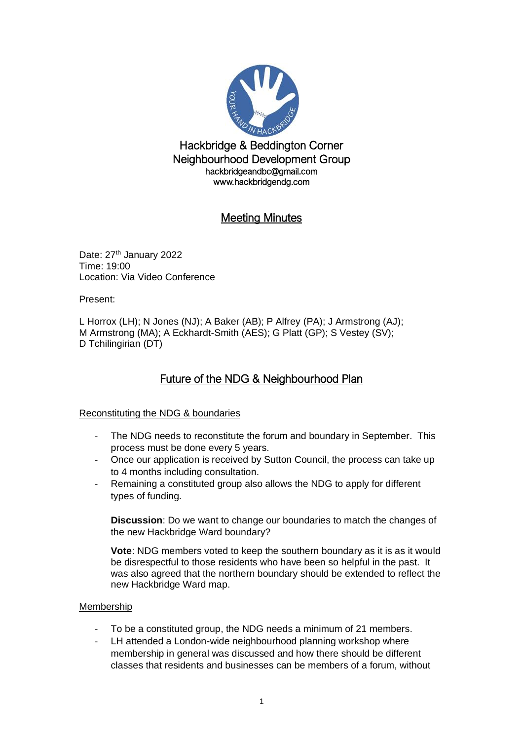

Hackbridge & Beddington Corner Neighbourhood Development Group hackbridgeandbc@gmail.com www.hackbridgendg.com

# Meeting Minutes

Date: 27<sup>th</sup> January 2022 Time: 19:00 Location: Via Video Conference

Present:

L Horrox (LH); N Jones (NJ); A Baker (AB); P Alfrey (PA); J Armstrong (AJ); M Armstrong (MA); A Eckhardt-Smith (AES); G Platt (GP); S Vestey (SV); D Tchilingirian (DT)

# Future of the NDG & Neighbourhood Plan

#### Reconstituting the NDG & boundaries

- The NDG needs to reconstitute the forum and boundary in September. This process must be done every 5 years.
- Once our application is received by Sutton Council, the process can take up to 4 months including consultation.
- Remaining a constituted group also allows the NDG to apply for different types of funding.

**Discussion**: Do we want to change our boundaries to match the changes of the new Hackbridge Ward boundary?

**Vote**: NDG members voted to keep the southern boundary as it is as it would be disrespectful to those residents who have been so helpful in the past. It was also agreed that the northern boundary should be extended to reflect the new Hackbridge Ward map.

#### Membership

- To be a constituted group, the NDG needs a minimum of 21 members.
- LH attended a London-wide neighbourhood planning workshop where membership in general was discussed and how there should be different classes that residents and businesses can be members of a forum, without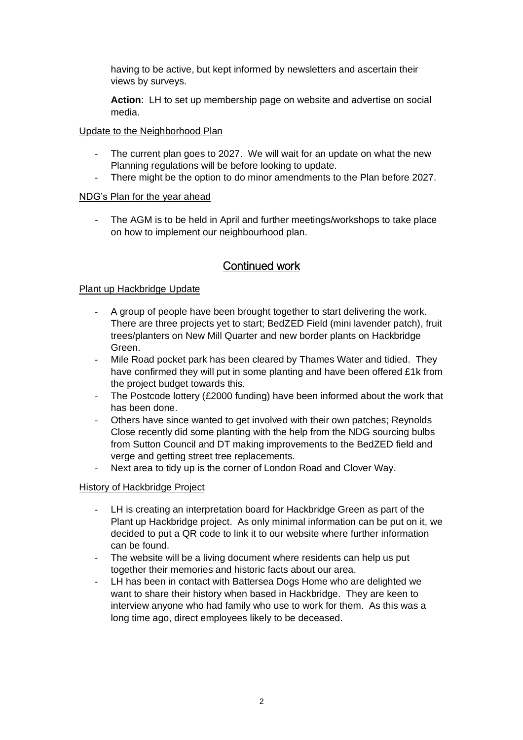having to be active, but kept informed by newsletters and ascertain their views by surveys.

**Action**: LH to set up membership page on website and advertise on social media.

#### Update to the Neighborhood Plan

- The current plan goes to 2027. We will wait for an update on what the new Planning regulations will be before looking to update.
- There might be the option to do minor amendments to the Plan before 2027.

### NDG's Plan for the year ahead

The AGM is to be held in April and further meetings/workshops to take place on how to implement our neighbourhood plan.

# Continued work

### Plant up Hackbridge Update

- A group of people have been brought together to start delivering the work. There are three projects yet to start; BedZED Field (mini lavender patch), fruit trees/planters on New Mill Quarter and new border plants on Hackbridge Green.
- Mile Road pocket park has been cleared by Thames Water and tidied. They have confirmed they will put in some planting and have been offered £1k from the project budget towards this.
- The Postcode lottery (£2000 funding) have been informed about the work that has been done.
- Others have since wanted to get involved with their own patches; Reynolds Close recently did some planting with the help from the NDG sourcing bulbs from Sutton Council and DT making improvements to the BedZED field and verge and getting street tree replacements.
- Next area to tidy up is the corner of London Road and Clover Way.

#### History of Hackbridge Project

- LH is creating an interpretation board for Hackbridge Green as part of the Plant up Hackbridge project. As only minimal information can be put on it, we decided to put a QR code to link it to our website where further information can be found.
- The website will be a living document where residents can help us put together their memories and historic facts about our area.
- LH has been in contact with Battersea Dogs Home who are delighted we want to share their history when based in Hackbridge. They are keen to interview anyone who had family who use to work for them. As this was a long time ago, direct employees likely to be deceased.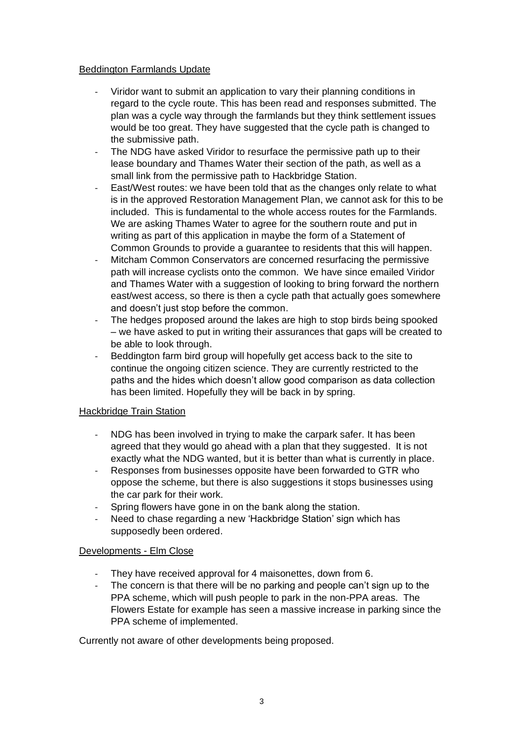#### Beddington Farmlands Update

- Viridor want to submit an application to vary their planning conditions in regard to the cycle route. This has been read and responses submitted. The plan was a cycle way through the farmlands but they think settlement issues would be too great. They have suggested that the cycle path is changed to the submissive path.
- The NDG have asked Viridor to resurface the permissive path up to their lease boundary and Thames Water their section of the path, as well as a small link from the permissive path to Hackbridge Station.
- East/West routes: we have been told that as the changes only relate to what is in the approved Restoration Management Plan, we cannot ask for this to be included. This is fundamental to the whole access routes for the Farmlands. We are asking Thames Water to agree for the southern route and put in writing as part of this application in maybe the form of a Statement of Common Grounds to provide a guarantee to residents that this will happen.
- Mitcham Common Conservators are concerned resurfacing the permissive path will increase cyclists onto the common. We have since emailed Viridor and Thames Water with a suggestion of looking to bring forward the northern east/west access, so there is then a cycle path that actually goes somewhere and doesn't just stop before the common.
- The hedges proposed around the lakes are high to stop birds being spooked – we have asked to put in writing their assurances that gaps will be created to be able to look through.
- Beddington farm bird group will hopefully get access back to the site to continue the ongoing citizen science. They are currently restricted to the paths and the hides which doesn't allow good comparison as data collection has been limited. Hopefully they will be back in by spring.

#### Hackbridge Train Station

- NDG has been involved in trying to make the carpark safer. It has been agreed that they would go ahead with a plan that they suggested. It is not exactly what the NDG wanted, but it is better than what is currently in place.
- Responses from businesses opposite have been forwarded to GTR who oppose the scheme, but there is also suggestions it stops businesses using the car park for their work.
- Spring flowers have gone in on the bank along the station.
- Need to chase regarding a new 'Hackbridge Station' sign which has supposedly been ordered.

#### Developments - Elm Close

- They have received approval for 4 maisonettes, down from 6.
- The concern is that there will be no parking and people can't sign up to the PPA scheme, which will push people to park in the non-PPA areas. The Flowers Estate for example has seen a massive increase in parking since the PPA scheme of implemented.

Currently not aware of other developments being proposed.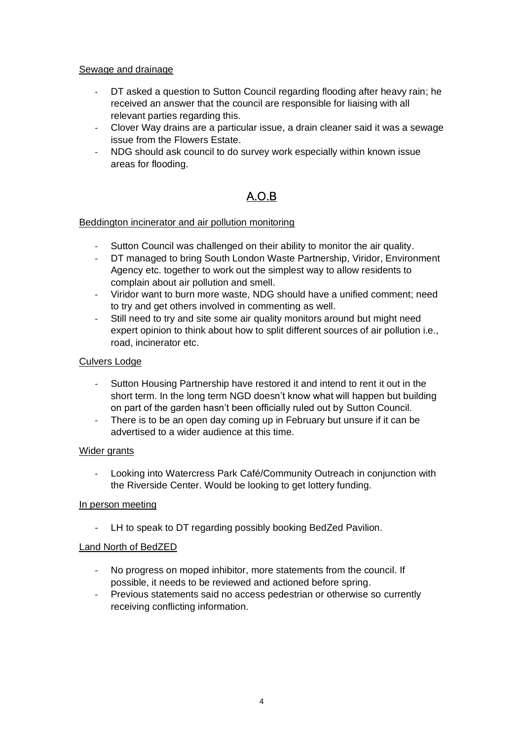#### Sewage and drainage

- DT asked a question to Sutton Council regarding flooding after heavy rain; he received an answer that the council are responsible for liaising with all relevant parties regarding this.
- Clover Way drains are a particular issue, a drain cleaner said it was a sewage issue from the Flowers Estate.
- NDG should ask council to do survey work especially within known issue areas for flooding.

# A.O.B

#### Beddington incinerator and air pollution monitoring

- Sutton Council was challenged on their ability to monitor the air quality.
- DT managed to bring South London Waste Partnership, Viridor, Environment Agency etc. together to work out the simplest way to allow residents to complain about air pollution and smell.
- Viridor want to burn more waste, NDG should have a unified comment; need to try and get others involved in commenting as well.
- Still need to try and site some air quality monitors around but might need expert opinion to think about how to split different sources of air pollution i.e., road, incinerator etc.

### Culvers Lodge

- Sutton Housing Partnership have restored it and intend to rent it out in the short term. In the long term NGD doesn't know what will happen but building on part of the garden hasn't been officially ruled out by Sutton Council.
- There is to be an open day coming up in February but unsure if it can be advertised to a wider audience at this time.

#### Wider grants

- Looking into Watercress Park Café/Community Outreach in conjunction with the Riverside Center. Would be looking to get lottery funding.

#### In person meeting

LH to speak to DT regarding possibly booking BedZed Pavilion.

#### Land North of BedZED

- No progress on moped inhibitor, more statements from the council. If possible, it needs to be reviewed and actioned before spring.
- Previous statements said no access pedestrian or otherwise so currently receiving conflicting information.